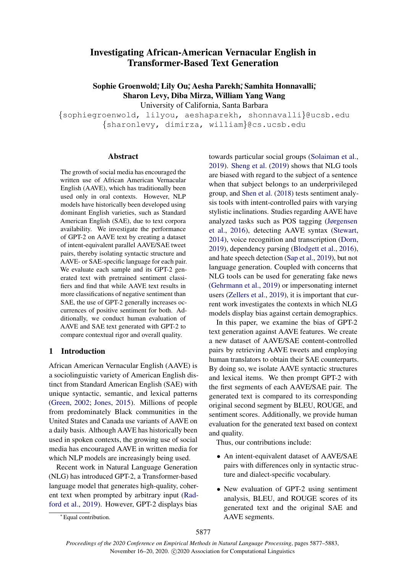# Investigating African-American Vernacular English in Transformer-Based Text Generation

Sophie Groenwold; Lily Ou; Aesha Parekh; Samhita Honnavalli; Sharon Levy, Diba Mirza, William Yang Wang

University of California, Santa Barbara

{sophiegroenwold, lilyou, aeshaparekh, shonnavalli}@ucsb.edu {sharonlevy, dimirza, william}@cs.ucsb.edu

### Abstract

The growth of social media has encouraged the written use of African American Vernacular English (AAVE), which has traditionally been used only in oral contexts. However, NLP models have historically been developed using dominant English varieties, such as Standard American English (SAE), due to text corpora availability. We investigate the performance of GPT-2 on AAVE text by creating a dataset of intent-equivalent parallel AAVE/SAE tweet pairs, thereby isolating syntactic structure and AAVE- or SAE-specific language for each pair. We evaluate each sample and its GPT-2 generated text with pretrained sentiment classifiers and find that while AAVE text results in more classifications of negative sentiment than SAE, the use of GPT-2 generally increases occurrences of positive sentiment for both. Additionally, we conduct human evaluation of AAVE and SAE text generated with GPT-2 to compare contextual rigor and overall quality.

# 1 Introduction

African American Vernacular English (AAVE) is a sociolinguistic variety of American English distinct from Standard American English (SAE) with unique syntactic, semantic, and lexical patterns [\(Green,](#page-4-0) [2002;](#page-4-0) [Jones,](#page-4-1) [2015\)](#page-4-1). Millions of people from predominately Black communities in the United States and Canada use variants of AAVE on a daily basis. Although AAVE has historically been used in spoken contexts, the growing use of social media has encouraged AAVE in written media for which NLP models are increasingly being used.

Recent work in Natural Language Generation (NLG) has introduced GPT-2, a Transformer-based language model that generates high-quality, coherent text when prompted by arbitrary input [\(Rad](#page-5-0)[ford et al.,](#page-5-0) [2019\)](#page-5-0). However, GPT-2 displays bias

towards particular social groups [\(Solaiman et al.,](#page-5-1) [2019\)](#page-5-1). [Sheng et al.](#page-5-2) [\(2019\)](#page-5-2) shows that NLG tools are biased with regard to the subject of a sentence when that subject belongs to an underprivileged group, and [Shen et al.](#page-5-3) [\(2018\)](#page-5-3) tests sentiment analysis tools with intent-controlled pairs with varying stylistic inclinations. Studies regarding AAVE have analyzed tasks such as POS tagging [\(Jørgensen](#page-5-4) [et al.,](#page-5-4) [2016\)](#page-5-4), detecting AAVE syntax [\(Stewart,](#page-5-5) [2014\)](#page-5-5), voice recognition and transcription [\(Dorn,](#page-4-2) [2019\)](#page-4-2), dependency parsing [\(Blodgett et al.,](#page-4-3) [2016\)](#page-4-3), and hate speech detection [\(Sap et al.,](#page-5-6) [2019\)](#page-5-6), but not language generation. Coupled with concerns that NLG tools can be used for generating fake news [\(Gehrmann et al.,](#page-4-4) [2019\)](#page-4-4) or impersonating internet users [\(Zellers et al.,](#page-5-7) [2019\)](#page-5-7), it is important that current work investigates the contexts in which NLG models display bias against certain demographics.

In this paper, we examine the bias of GPT-2 text generation against AAVE features. We create a new dataset of AAVE/SAE content-controlled pairs by retrieving AAVE tweets and employing human translators to obtain their SAE counterparts. By doing so, we isolate AAVE syntactic structures and lexical items. We then prompt GPT-2 with the first segments of each AAVE/SAE pair. The generated text is compared to its corresponding original second segment by BLEU, ROUGE, and sentiment scores. Additionally, we provide human evaluation for the generated text based on context and quality.

Thus, our contributions include:

- An intent-equivalent dataset of AAVE/SAE pairs with differences only in syntactic structure and dialect-specific vocabulary.
- New evaluation of GPT-2 using sentiment analysis, BLEU, and ROUGE scores of its generated text and the original SAE and AAVE segments.

<sup>∗</sup> Equal contribution.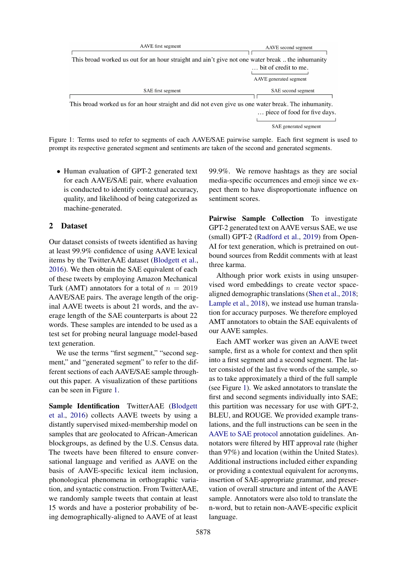<span id="page-1-0"></span>

| AAVE first segment                                                                                  | AAVE second segment                            |  |  |
|-----------------------------------------------------------------------------------------------------|------------------------------------------------|--|--|
| This broad worked us out for an hour straight and ain't give not one water break  the inhumanity    | bit of credit to me.<br>AAVE generated segment |  |  |
| SAE first segment                                                                                   | SAE second segment                             |  |  |
| This broad worked us for an hour straight and did not even give us one water break. The inhumanity. | piece of food for five days.                   |  |  |

SAE generated segment

Figure 1: Terms used to refer to segments of each AAVE/SAE pairwise sample. Each first segment is used to prompt its respective generated segment and sentiments are taken of the second and generated segments.

• Human evaluation of GPT-2 generated text for each AAVE/SAE pair, where evaluation is conducted to identify contextual accuracy, quality, and likelihood of being categorized as machine-generated.

### 2 Dataset

Our dataset consists of tweets identified as having at least 99.9% confidence of using AAVE lexical items by the TwitterAAE dataset [\(Blodgett et al.,](#page-4-3) [2016\)](#page-4-3). We then obtain the SAE equivalent of each of these tweets by employing Amazon Mechanical Turk (AMT) annotators for a total of  $n = 2019$ AAVE/SAE pairs. The average length of the original AAVE tweets is about 21 words, and the average length of the SAE counterparts is about 22 words. These samples are intended to be used as a test set for probing neural language model-based text generation.

We use the terms "first segment," "second segment," and "generated segment" to refer to the different sections of each AAVE/SAE sample throughout this paper. A visualization of these partitions can be seen in Figure [1.](#page-1-0)

Sample Identification TwitterAAE [\(Blodgett](#page-4-3) [et al.,](#page-4-3) [2016\)](#page-4-3) collects AAVE tweets by using a distantly supervised mixed-membership model on samples that are geolocated to African-American blockgroups, as defined by the U.S. Census data. The tweets have been filtered to ensure conversational language and verified as AAVE on the basis of AAVE-specific lexical item inclusion, phonological phenomena in orthographic variation, and syntactic construction. From TwitterAAE, we randomly sample tweets that contain at least 15 words and have a posterior probability of being demographically-aligned to AAVE of at least 99.9%. We remove hashtags as they are social media-specific occurrences and emoji since we expect them to have disproportionate influence on sentiment scores.

Pairwise Sample Collection To investigate GPT-2 generated text on AAVE versus SAE, we use (small) GPT-2 [\(Radford et al.,](#page-5-0) [2019\)](#page-5-0) from Open-AI for text generation, which is pretrained on outbound sources from Reddit comments with at least three karma.

Although prior work exists in using unsupervised word embeddings to create vector spacealigned demographic translations [\(Shen et al.,](#page-5-3) [2018;](#page-5-3) [Lample et al.,](#page-5-8) [2018\)](#page-5-8), we instead use human translation for accuracy purposes. We therefore employed AMT annotators to obtain the SAE equivalents of our AAVE samples.

Each AMT worker was given an AAVE tweet sample, first as a whole for context and then split into a first segment and a second segment. The latter consisted of the last five words of the sample, so as to take approximately a third of the full sample (see Figure [1\)](#page-1-0). We asked annotators to translate the first and second segments individually into SAE; this partition was necessary for use with GPT-2, BLEU, and ROUGE. We provided example translations, and the full instructions can be seen in the [AAVE to SAE protocol](#page-6-0) annotation guidelines. Annotators were filtered by HIT approval rate (higher than 97%) and location (within the United States). Additional instructions included either expanding or providing a contextual equivalent for acronyms, insertion of SAE-appropriate grammar, and preservation of overall structure and intent of the AAVE sample. Annotators were also told to translate the n-word, but to retain non-AAVE-specific explicit language.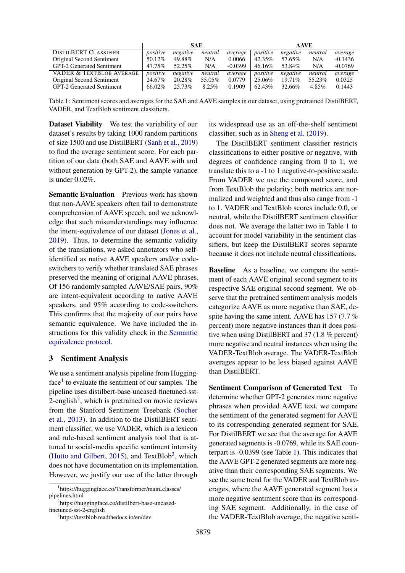<span id="page-2-3"></span>

|                                     | <b>SAE</b> |           |          | <b>AAVE</b> |           |           |         |           |
|-------------------------------------|------------|-----------|----------|-------------|-----------|-----------|---------|-----------|
| DISTILBERT CLASSIFIER               | positive   | negative  | neutral  | average     | positive  | negative  | neutral | average   |
| Original Second Sentiment           | 50.12%     | 49.88%    | N/A      | 0.0066      | 42.35%    | 57.65%    | N/A     | $-0.1436$ |
| <b>GPT-2 Generated Sentiment</b>    | 47.75%     | $52.25\%$ | N/A      | $-0.0399$   | 46.16%    | 53.84%    | N/A     | $-0.0769$ |
| <b>VADER &amp; TEXTBLOB AVERAGE</b> | positive   | negative  | neutral  | average     | positive  | negative  | neutral | average   |
| Original Second Sentiment           | 24.67%     | 20.28%    | 55.05%   | 0.0779      | 25.06%    | $19.71\%$ | 55.23%  | 0.0325    |
| <b>GPT-2 Generated Sentiment</b>    | 66.02%     | $25.73\%$ | $8.25\%$ | 0.1909      | $62.43\%$ | 32.66%    | 4.85%   | 0.1443    |

Table 1: Sentiment scores and averages for the SAE and AAVE samples in our dataset, using pretrained DistilBERT, VADER, and TextBlob sentiment classifiers.

Dataset Viability We test the variability of our dataset's results by taking 1000 random partitions of size 1500 and use DistilBERT [\(Sanh et al.,](#page-5-9) [2019\)](#page-5-9) to find the average sentiment score. For each partition of our data (both SAE and AAVE with and without generation by GPT-2), the sample variance is under 0.02%.

Semantic Evaluation Previous work has shown that non-AAVE speakers often fail to demonstrate comprehension of AAVE speech, and we acknowledge that such misunderstandings may influence the intent-equivalence of our dataset [\(Jones et al.,](#page-4-5) [2019\)](#page-4-5). Thus, to determine the semantic validity of the translations, we asked annotators who selfidentified as native AAVE speakers and/or codeswitchers to verify whether translated SAE phrases preserved the meaning of original AAVE phrases. Of 156 randomly sampled AAVE/SAE pairs, 90% are intent-equivalent according to native AAVE speakers, and 95% according to code-switchers. This confirms that the majority of our pairs have semantic equivalence. We have included the instructions for this validity check in the [Semantic](#page-6-1) [equivalence protocol.](#page-6-1)

#### 3 Sentiment Analysis

We use a sentiment analysis pipeline from Hugging-face<sup>[1](#page-2-0)</sup> to evaluate the sentiment of our samples. The pipeline uses distilbert-base-uncased-finetuned-sst-[2](#page-2-1)-english<sup>2</sup>, which is pretrained on movie reviews from the Stanford Sentiment Treebank [\(Socher](#page-5-10) [et al.,](#page-5-10) [2013\)](#page-5-10). In addition to the DistilBERT sentiment classifier, we use VADER, which is a lexicon and rule-based sentiment analysis tool that is attuned to social-media specific sentiment intensity [\(Hutto and Gilbert,](#page-4-6) [2015\)](#page-4-6), and TextBlob<sup>[3](#page-2-2)</sup>, which does not have documentation on its implementation. However, we justify our use of the latter through

<span id="page-2-1"></span>2 https://huggingface.co/distilbert-base-uncasedfinetuned-sst-2-english

its widespread use as an off-the-shelf sentiment classifier, such as in [Sheng et al.](#page-5-2) [\(2019\)](#page-5-2).

The DistilBERT sentiment classifier restricts classifications to either positive or negative, with degrees of confidence ranging from 0 to 1; we translate this to a -1 to 1 negative-to-positive scale. From VADER we use the compound score, and from TextBlob the polarity; both metrics are normalized and weighted and thus also range from -1 to 1. VADER and TextBlob scores include 0.0, or neutral, while the DistilBERT sentiment classifier does not. We average the latter two in Table [1](#page-2-3) to account for model variability in the sentiment classifiers, but keep the DistilBERT scores separate because it does not include neutral classifications.

Baseline As a baseline, we compare the sentiment of each AAVE original second segment to its respective SAE original second segment. We observe that the pretrained sentiment analysis models categorize AAVE as more negative than SAE, despite having the same intent. AAVE has 157 (7.7 % percent) more negative instances than it does positive when using DistilBERT and 37 (1.8 % percent) more negative and neutral instances when using the VADER-TextBlob average. The VADER-TextBlob averages appear to be less biased against AAVE than DistilBERT.

Sentiment Comparison of Generated Text To determine whether GPT-2 generates more negative phrases when provided AAVE text, we compare the sentiment of the generated segment for AAVE to its corresponding generated segment for SAE. For DistilBERT we see that the average for AAVE generated segments is -0.0769, while its SAE counterpart is -0.0399 (see Table [1\)](#page-2-3). This indicates that the AAVE GPT-2 generated segments are more negative than their corresponding SAE segments. We see the same trend for the VADER and TextBlob averages, where the AAVE generated segment has a more negative sentiment score than its corresponding SAE segment. Additionally, in the case of the VADER-TextBlob average, the negative senti-

<span id="page-2-0"></span><sup>1</sup> https://huggingface.co/Transformer/main classes/ pipelines.html

<span id="page-2-2"></span><sup>3</sup> https://textblob.readthedocs.io/en/dev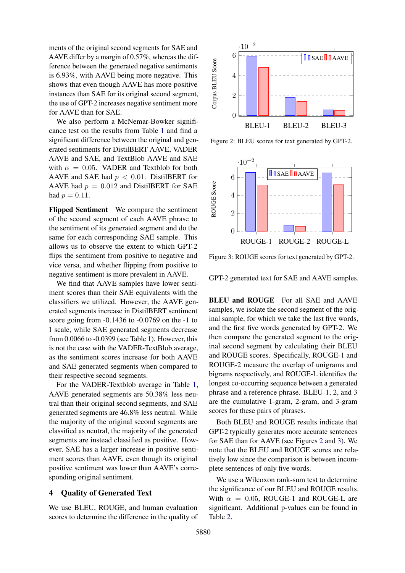ments of the original second segments for SAE and AAVE differ by a margin of 0.57%, whereas the difference between the generated negative sentiments is 6.93%, with AAVE being more negative. This shows that even though AAVE has more positive instances than SAE for its original second segment, the use of GPT-2 increases negative sentiment more for AAVE than for SAE.

We also perform a McNemar-Bowker significance test on the results from Table [1](#page-2-3) and find a significant difference between the original and generated sentiments for DistilBERT AAVE, VADER AAVE and SAE, and TextBlob AAVE and SAE with  $\alpha = 0.05$ . VADER and Textblob for both AAVE and SAE had  $p < 0.01$ . DistilBERT for AAVE had  $p = 0.012$  and DistilBERT for SAE had  $p = 0.11$ .

Flipped Sentiment We compare the sentiment of the second segment of each AAVE phrase to the sentiment of its generated segment and do the same for each corresponding SAE sample. This allows us to observe the extent to which GPT-2 flips the sentiment from positive to negative and vice versa, and whether flipping from positive to negative sentiment is more prevalent in AAVE.

We find that AAVE samples have lower sentiment scores than their SAE equivalents with the classifiers we utilized. However, the AAVE generated segments increase in DistilBERT sentiment score going from -0.1436 to -0.0769 on the -1 to 1 scale, while SAE generated segments decrease from 0.0066 to -0.0399 (see Table [1\)](#page-2-3). However, this is not the case with the VADER-TextBlob average, as the sentiment scores increase for both AAVE and SAE generated segments when compared to their respective second segments.

For the VADER-Textblob average in Table [1,](#page-2-3) AAVE generated segments are 50.38% less neutral than their original second segments, and SAE generated segments are 46.8% less neutral. While the majority of the original second segments are classified as neutral, the majority of the generated segments are instead classified as positive. However, SAE has a larger increase in positive sentiment scores than AAVE, even though its original positive sentiment was lower than AAVE's corresponding original sentiment.

# 4 Quality of Generated Text

We use BLEU, ROUGE, and human evaluation scores to determine the difference in the quality of

<span id="page-3-0"></span>

Figure 2: BLEU scores for text generated by GPT-2.

<span id="page-3-1"></span>

Figure 3: ROUGE scores for text generated by GPT-2.

GPT-2 generated text for SAE and AAVE samples.

BLEU and ROUGE For all SAE and AAVE samples, we isolate the second segment of the original sample, for which we take the last five words, and the first five words generated by GPT-2. We then compare the generated segment to the original second segment by calculating their BLEU and ROUGE scores. Specifically, ROUGE-1 and ROUGE-2 measure the overlap of unigrams and bigrams respectively, and ROUGE-L identifies the longest co-occurring sequence between a generated phrase and a reference phrase. BLEU-1, 2, and 3 are the cumulative 1-gram, 2-gram, and 3-gram scores for these pairs of phrases.

Both BLEU and ROUGE results indicate that GPT-2 typically generates more accurate sentences for SAE than for AAVE (see Figures [2](#page-3-0) and [3\)](#page-3-1). We note that the BLEU and ROUGE scores are relatively low since the comparison is between incomplete sentences of only five words.

We use a Wilcoxon rank-sum test to determine the significance of our BLEU and ROUGE results. With  $\alpha = 0.05$ , ROUGE-1 and ROUGE-L are significant. Additional p-values can be found in Table [2.](#page-4-7)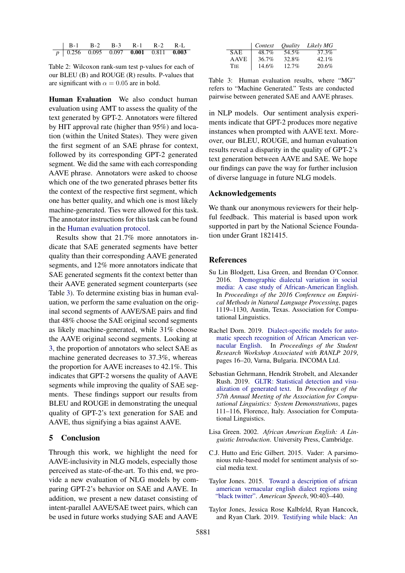<span id="page-4-7"></span>

| $\vert$ B-1 B-2 B-3 R-1 R-2 R-L                               |  |  |  |
|---------------------------------------------------------------|--|--|--|
| $\boxed{p}$ 0.256 0.095 0.097 <b>0.001</b> 0.811 <b>0.003</b> |  |  |  |

Table 2: Wilcoxon rank-sum test p-values for each of our BLEU (B) and ROUGE (R) results. P-values that are significant with  $\alpha = 0.05$  are in bold.

Human Evaluation We also conduct human evaluation using AMT to assess the quality of the text generated by GPT-2. Annotators were filtered by HIT approval rate (higher than 95%) and location (within the United States). They were given the first segment of an SAE phrase for context, followed by its corresponding GPT-2 generated segment. We did the same with each corresponding AAVE phrase. Annotators were asked to choose which one of the two generated phrases better fits the context of the respective first segment, which one has better quality, and which one is most likely machine-generated. Ties were allowed for this task. The annotator instructions for this task can be found in the [Human evaluation protocol.](#page-6-2)

Results show that 21.7% more annotators indicate that SAE generated segments have better quality than their corresponding AAVE generated segments, and 12% more annotators indicate that SAE generated segments fit the context better than their AAVE generated segment counterparts (see Table [3\)](#page-4-8). To determine existing bias in human evaluation, we perform the same evaluation on the original second segments of AAVE/SAE pairs and find that 48% choose the SAE original second segments as likely machine-generated, while 31% choose the AAVE original second segments. Looking at [3,](#page-4-8) the proportion of annotators who select SAE as machine generated decreases to 37.3%, whereas the proportion for AAVE increases to 42.1%. This indicates that GPT-2 worsens the quality of AAVE segments while improving the quality of SAE segments. These findings support our results from BLEU and ROUGE in demonstrating the unequal quality of GPT-2's text generation for SAE and AAVE, thus signifying a bias against AAVE.

#### 5 Conclusion

Through this work, we highlight the need for AAVE-inclusivity in NLG models, especially those perceived as state-of-the-art. To this end, we provide a new evaluation of NLG models by comparing GPT-2's behavior on SAE and AAVE. In addition, we present a new dataset consisting of intent-parallel AAVE/SAE tweet pairs, which can be used in future works studying SAE and AAVE

<span id="page-4-8"></span>

|             | Context | <i>Ouality</i> | Likely MG |
|-------------|---------|----------------|-----------|
| <b>SAE</b>  | 48.7%   | 54.5%          | 37.3%     |
| <b>AAVE</b> | 36.7%   | 32.8%          | $42.1\%$  |
| <b>TIE</b>  | 14.6%   | $12.7\%$       | 20.6%     |

Table 3: Human evaluation results, where "MG" refers to "Machine Generated." Tests are conducted pairwise between generated SAE and AAVE phrases.

in NLP models. Our sentiment analysis experiments indicate that GPT-2 produces more negative instances when prompted with AAVE text. Moreover, our BLEU, ROUGE, and human evaluation results reveal a disparity in the quality of GPT-2's text generation between AAVE and SAE. We hope our findings can pave the way for further inclusion of diverse language in future NLG models.

### Acknowledgements

We thank our anonymous reviewers for their helpful feedback. This material is based upon work supported in part by the National Science Foundation under Grant 1821415.

#### **References**

- <span id="page-4-3"></span>Su Lin Blodgett, Lisa Green, and Brendan O'Connor. 2016. [Demographic dialectal variation in social](https://doi.org/10.18653/v1/D16-1120) [media: A case study of African-American English.](https://doi.org/10.18653/v1/D16-1120) In *Proceedings of the 2016 Conference on Empirical Methods in Natural Language Processing*, pages 1119–1130, Austin, Texas. Association for Computational Linguistics.
- <span id="page-4-2"></span>Rachel Dorn. 2019. [Dialect-specific models for auto](https://doi.org/10.26615/issn.2603-2821.2019_003)[matic speech recognition of African American ver](https://doi.org/10.26615/issn.2603-2821.2019_003)[nacular English.](https://doi.org/10.26615/issn.2603-2821.2019_003) In *Proceedings of the Student Research Workshop Associated with RANLP 2019*, pages 16–20, Varna, Bulgaria. INCOMA Ltd.
- <span id="page-4-4"></span>Sebastian Gehrmann, Hendrik Strobelt, and Alexander Rush. 2019. [GLTR: Statistical detection and visu](https://doi.org/10.18653/v1/P19-3019)[alization of generated text.](https://doi.org/10.18653/v1/P19-3019) In *Proceedings of the 57th Annual Meeting of the Association for Computational Linguistics: System Demonstrations*, pages 111–116, Florence, Italy. Association for Computational Linguistics.
- <span id="page-4-0"></span>Lisa Green. 2002. *African American English: A Linguistic Introduction*. University Press, Cambridge.
- <span id="page-4-6"></span>C.J. Hutto and Eric Gilbert. 2015. Vader: A parsimonious rule-based model for sentiment analysis of social media text.
- <span id="page-4-1"></span>Taylor Jones. 2015. [Toward a description of african](https://doi.org/10.1215/00031283-3442117) [american vernacular english dialect regions using](https://doi.org/10.1215/00031283-3442117) ["black twitter".](https://doi.org/10.1215/00031283-3442117) *American Speech*, 90:403–440.
- <span id="page-4-5"></span>Taylor Jones, Jessica Rose Kalbfeld, Ryan Hancock, and Ryan Clark. 2019. [Testifying while black: An](https://doi.org/10.1353/lan.2019.0042)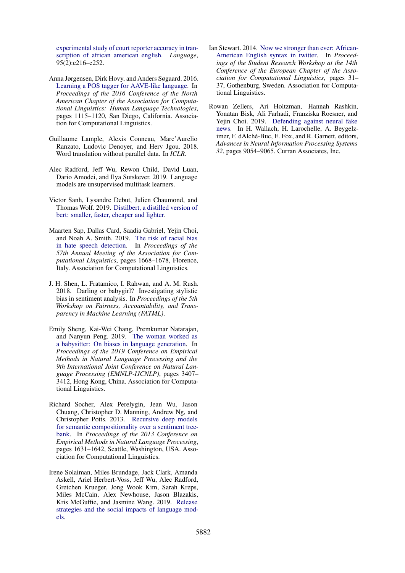[experimental study of court reporter accuracy in tran](https://doi.org/10.1353/lan.2019.0042)[scription of african american english.](https://doi.org/10.1353/lan.2019.0042) *Language*, 95(2):e216–e252.

- <span id="page-5-4"></span>Anna Jørgensen, Dirk Hovy, and Anders Søgaard. 2016. [Learning a POS tagger for AAVE-like language.](https://doi.org/10.18653/v1/N16-1130) In *Proceedings of the 2016 Conference of the North American Chapter of the Association for Computational Linguistics: Human Language Technologies*, pages 1115–1120, San Diego, California. Association for Computational Linguistics.
- <span id="page-5-8"></span>Guillaume Lample, Alexis Conneau, Marc'Aurelio Ranzato, Ludovic Denoyer, and Herv Jgou. 2018. Word translation without parallel data. In *ICLR*.
- <span id="page-5-0"></span>Alec Radford, Jeff Wu, Rewon Child, David Luan, Dario Amodei, and Ilya Sutskever. 2019. Language models are unsupervised multitask learners.
- <span id="page-5-9"></span>Victor Sanh, Lysandre Debut, Julien Chaumond, and Thomas Wolf. 2019. [Distilbert, a distilled version of](http://arxiv.org/abs/1910.01108) [bert: smaller, faster, cheaper and lighter.](http://arxiv.org/abs/1910.01108)
- <span id="page-5-6"></span>Maarten Sap, Dallas Card, Saadia Gabriel, Yejin Choi, and Noah A. Smith. 2019. [The risk of racial bias](https://doi.org/10.18653/v1/P19-1163) [in hate speech detection.](https://doi.org/10.18653/v1/P19-1163) In *Proceedings of the 57th Annual Meeting of the Association for Computational Linguistics*, pages 1668–1678, Florence, Italy. Association for Computational Linguistics.
- <span id="page-5-3"></span>J. H. Shen, L. Fratamico, I. Rahwan, and A. M. Rush. 2018. Darling or babygirl? Investigating stylistic bias in sentiment analysis. In *Proceedings of the 5th Workshop on Fairness, Accountability, and Transparency in Machine Learning (FATML)*.
- <span id="page-5-2"></span>Emily Sheng, Kai-Wei Chang, Premkumar Natarajan, and Nanyun Peng. 2019. [The woman worked as](https://doi.org/10.18653/v1/D19-1339) [a babysitter: On biases in language generation.](https://doi.org/10.18653/v1/D19-1339) In *Proceedings of the 2019 Conference on Empirical Methods in Natural Language Processing and the 9th International Joint Conference on Natural Language Processing (EMNLP-IJCNLP)*, pages 3407– 3412, Hong Kong, China. Association for Computational Linguistics.
- <span id="page-5-10"></span>Richard Socher, Alex Perelygin, Jean Wu, Jason Chuang, Christopher D. Manning, Andrew Ng, and Christopher Potts. 2013. [Recursive deep models](https://www.aclweb.org/anthology/D13-1170) [for semantic compositionality over a sentiment tree](https://www.aclweb.org/anthology/D13-1170)[bank.](https://www.aclweb.org/anthology/D13-1170) In *Proceedings of the 2013 Conference on Empirical Methods in Natural Language Processing*, pages 1631–1642, Seattle, Washington, USA. Association for Computational Linguistics.
- <span id="page-5-1"></span>Irene Solaiman, Miles Brundage, Jack Clark, Amanda Askell, Ariel Herbert-Voss, Jeff Wu, Alec Radford, Gretchen Krueger, Jong Wook Kim, Sarah Kreps, Miles McCain, Alex Newhouse, Jason Blazakis, Kris McGuffie, and Jasmine Wang. 2019. [Release](http://arxiv.org/abs/1908.09203) [strategies and the social impacts of language mod](http://arxiv.org/abs/1908.09203)[els.](http://arxiv.org/abs/1908.09203)
- <span id="page-5-5"></span>Ian Stewart. 2014. [Now we stronger than ever: African-](https://doi.org/10.3115/v1/E14-3004)[American English syntax in twitter.](https://doi.org/10.3115/v1/E14-3004) In *Proceedings of the Student Research Workshop at the 14th Conference of the European Chapter of the Association for Computational Linguistics*, pages 31– 37, Gothenburg, Sweden. Association for Computational Linguistics.
- <span id="page-5-7"></span>Rowan Zellers, Ari Holtzman, Hannah Rashkin, Yonatan Bisk, Ali Farhadi, Franziska Roesner, and Yejin Choi. 2019. [Defending against neural fake](http://papers.nips.cc/paper/9106-defending-against-neural-fake-news.pdf) [news.](http://papers.nips.cc/paper/9106-defending-against-neural-fake-news.pdf) In H. Wallach, H. Larochelle, A. Beygelzimer, F. dAlché-Buc, E. Fox, and R. Garnett, editors, *Advances in Neural Information Processing Systems 32*, pages 9054–9065. Curran Associates, Inc.